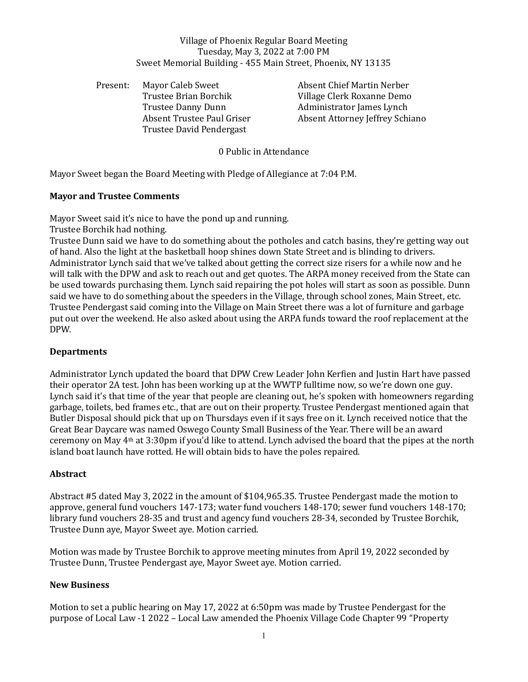# Village of Phoenix Regular Board Meeting Tuesday, May 3, 2022 at 7:00 PM Sweet Memorial Building - 455 Main Street, Phoenix, NY 13135

Present: Mayor Caleb Sweet Absent Chief Martin Nerber Trustee Danny Dunn Administrator James Lynch Trustee David Pendergast

Trustee Brian Borchik Village Clerk Roxanne Demo Absent Trustee Paul Griser Absent Attorney Jeffrey Schiano

# 0 Public in Attendance

Mayor Sweet began the Board Meeting with Pledge of Allegiance at 7:04 P.M.

# **Mayor and Trustee Comments**

Mayor Sweet said it's nice to have the pond up and running.

Trustee Borchik had nothing.

Trustee Dunn said we have to do something about the potholes and catch basins, they're getting way out of hand. Also the light at the basketball hoop shines down State Street and is blinding to drivers. Administrator Lynch said that we've talked about getting the correct size risers for a while now and he will talk with the DPW and ask to reach out and get quotes. The ARPA money received from the State can be used towards purchasing them. Lynch said repairing the pot holes will start as soon as possible. Dunn said we have to do something about the speeders in the Village, through school zones, Main Street, etc. Trustee Pendergast said coming into the Village on Main Street there was a lot of furniture and garbage put out over the weekend. He also asked about using the ARPA funds toward the roof replacement at the DPW.

### **Departments**

Administrator Lynch updated the board that DPW Crew Leader John Kerfien and Justin Hart have passed their operator 2A test. John has been working up at the WWTP fulltime now, so we're down one guy. Lynch said it's that time of the year that people are cleaning out, he's spoken with homeowners regarding garbage, toilets, bed frames etc., that are out on their property. Trustee Pendergast mentioned again that Butler Disposal should pick that up on Thursdays even if it says free on it. Lynch received notice that the Great Bear Daycare was named Oswego County Small Business of the Year. There will be an award ceremony on May 4th at 3:30pm if you'd like to attend. Lynch advised the board that the pipes at the north island boat launch have rotted. He will obtain bids to have the poles repaired.

### **Abstract**

Abstract #5 dated May 3, 2022 in the amount of \$104,965.35. Trustee Pendergast made the motion to approve, general fund vouchers 147-173; water fund vouchers 148-170; sewer fund vouchers 148-170; library fund vouchers 28-35 and trust and agency fund vouchers 28-34, seconded by Trustee Borchik, Trustee Dunn aye, Mayor Sweet aye. Motion carried.

Motion was made by Trustee Borchik to approve meeting minutes from April 19, 2022 seconded by Trustee Dunn, Trustee Pendergast aye, Mayor Sweet aye. Motion carried.

### **New Business**

Motion to set a public hearing on May 17, 2022 at 6:50pm was made by Trustee Pendergast for the purpose of Local Law -1 2022 – Local Law amended the Phoenix Village Code Chapter 99 "Property